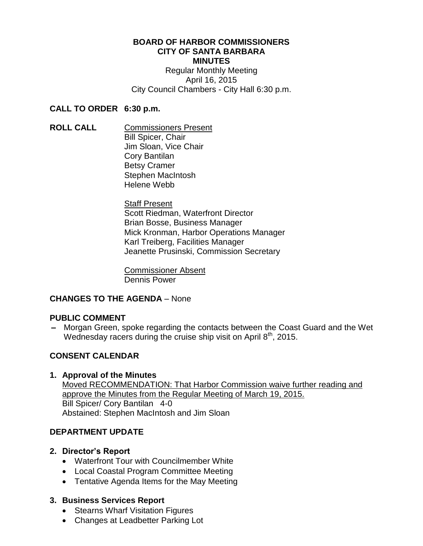### **BOARD OF HARBOR COMMISSIONERS CITY OF SANTA BARBARA MINUTES** Regular Monthly Meeting April 16, 2015 City Council Chambers - City Hall 6:30 p.m.

### **CALL TO ORDER 6:30 p.m.**

**ROLL CALL** Commissioners Present Bill Spicer, Chair Jim Sloan, Vice Chair Cory Bantilan Betsy Cramer Stephen MacIntosh Helene Webb

> **Staff Present** Scott Riedman, Waterfront Director Brian Bosse, Business Manager Mick Kronman, Harbor Operations Manager Karl Treiberg, Facilities Manager Jeanette Prusinski, Commission Secretary

Commissioner Absent Dennis Power

# **CHANGES TO THE AGENDA** – None

# **PUBLIC COMMENT**

**–** Morgan Green, spoke regarding the contacts between the Coast Guard and the Wet Wednesday racers during the cruise ship visit on April 8<sup>th</sup>, 2015.

# **CONSENT CALENDAR**

# **1. Approval of the Minutes**

Moved RECOMMENDATION: That Harbor Commission waive further reading and approve the Minutes from the Regular Meeting of March 19, 2015. Bill Spicer/ Cory Bantilan 4-0 Abstained: Stephen MacIntosh and Jim Sloan

# **DEPARTMENT UPDATE**

# **2. Director's Report**

- Waterfront Tour with Councilmember White
- Local Coastal Program Committee Meeting
- Tentative Agenda Items for the May Meeting

# **3. Business Services Report**

- Stearns Wharf Visitation Figures
- Changes at Leadbetter Parking Lot